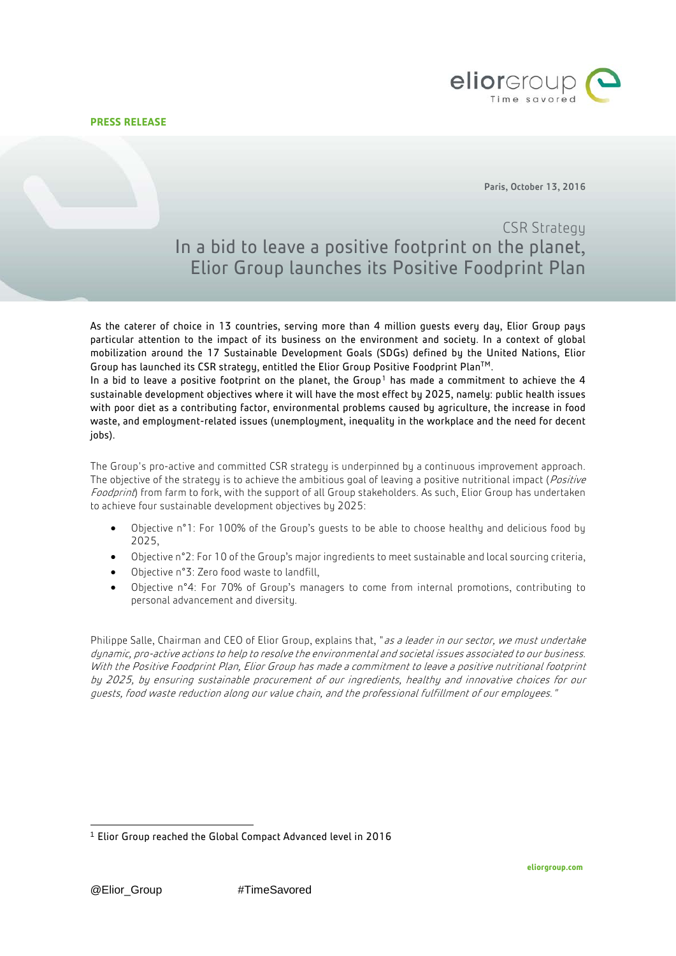**PRESS RELEASE**



Paris, October 13, 2016

## CSR Strategy In a bid to leave a positive footprint on the planet, Elior Group launches its Positive Foodprint Plan

As the caterer of choice in 13 countries, serving more than 4 million guests every day, Elior Group pays particular attention to the impact of its business on the environment and society. In a context of global mobilization around the 17 Sustainable Development Goals (SDGs) defined by the United Nations, Elior Group has launched its CSR strategy, entitled the Elior Group Positive Foodprint PlanTM.

In a bid to leave a positive footprint on the planet, the Group<sup>[1](#page-0-0)</sup> has made a commitment to achieve the 4 sustainable development objectives where it will have the most effect by 2025, namely: public health issues with poor diet as a contributing factor, environmental problems caused by agriculture, the increase in food waste, and employment-related issues (unemployment, inequality in the workplace and the need for decent iobs).

The Group's pro-active and committed CSR strategy is underpinned by a continuous improvement approach. The objective of the strategy is to achieve the ambitious goal of leaving a positive nutritional impact (*Positive* Foodprint) from farm to fork, with the support of all Group stakeholders. As such, Elior Group has undertaken to achieve four sustainable development objectives by 2025:

- Objective n°1: For 100% of the Group's guests to be able to choose healthy and delicious food by 2025,
- Objective n°2: For 10 of the Group's major ingredients to meet sustainable and local sourcing criteria,
- Objective n°3: Zero food waste to landfill,
- Objective n°4: For 70% of Group's managers to come from internal promotions, contributing to personal advancement and diversity.

Philippe Salle, Chairman and CEO of Elior Group, explains that, "as a leader in our sector, we must undertake dynamic, pro-active actions to help to resolve the environmental and societal issues associated to our business. With the Positive Foodprint Plan, Elior Group has made a commitment to leave a positive nutritional footprint by 2025, by ensuring sustainable procurement of our ingredients, healthy and innovative choices for our guests, food waste reduction along our value chain, and the professional fulfillment of our employees."

<span id="page-0-0"></span> <sup>1</sup> Elior Group reached the Global Compact Advanced level in 2016